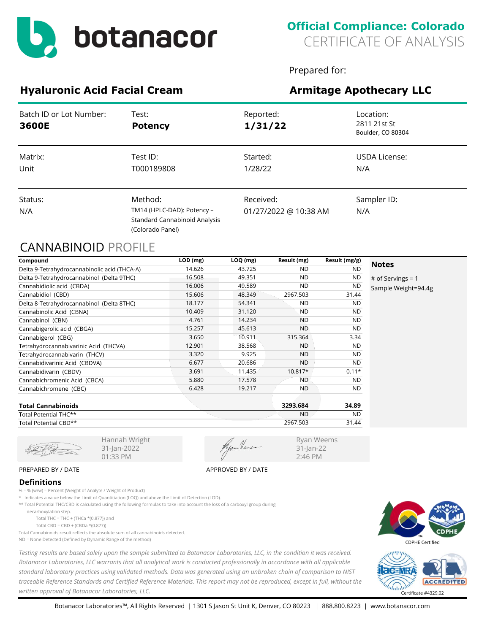

# **Official Compliance: Colorado** CERTIFICATE OF ANALYSIS

Prepared for:

Ryan Weems 31-Jan-22 2:46 PM

# **Hyaluronic Acid Facial Cream Armitage Apothecary LLC**

| Batch ID or Lot Number:<br>3600E | Test:<br><b>Potency</b>                                                                    | Reported:<br>1/31/22               | Location:<br>2811 21st St<br>Boulder, CO 80304 |
|----------------------------------|--------------------------------------------------------------------------------------------|------------------------------------|------------------------------------------------|
| Matrix:<br>Unit                  | Test ID:<br>T000189808                                                                     | Started:<br>1/28/22                | USDA License:<br>N/A                           |
| Status:<br>N/A                   | Method:<br>TM14 (HPLC-DAD): Potency -<br>Standard Cannabinoid Analysis<br>(Colorado Panel) | Received:<br>01/27/2022 @ 10:38 AM | Sampler ID:<br>N/A                             |

## CANNABINOID PROFILE

| Compound                                     | LOD (mg) | $LOQ$ (mg) | Result (mg) | Result (mg/g) |                     |
|----------------------------------------------|----------|------------|-------------|---------------|---------------------|
| Delta 9-Tetrahydrocannabinolic acid (THCA-A) | 14.626   | 43.725     | ND.         | <b>ND</b>     | <b>Notes</b>        |
| Delta 9-Tetrahydrocannabinol (Delta 9THC)    | 16.508   | 49.351     | <b>ND</b>   | ND            | # of Servings = $1$ |
| Cannabidiolic acid (CBDA)                    | 16.006   | 49.589     | <b>ND</b>   | <b>ND</b>     | Sample Weight=94.4g |
| Cannabidiol (CBD)                            | 15.606   | 48.349     | 2967.503    | 31.44         |                     |
| Delta 8-Tetrahydrocannabinol (Delta 8THC)    | 18.177   | 54.341     | <b>ND</b>   | <b>ND</b>     |                     |
| Cannabinolic Acid (CBNA)                     | 10.409   | 31.120     | <b>ND</b>   | <b>ND</b>     |                     |
| Cannabinol (CBN)                             | 4.761    | 14.234     | <b>ND</b>   | <b>ND</b>     |                     |
| Cannabigerolic acid (CBGA)                   | 15.257   | 45.613     | ND.         | <b>ND</b>     |                     |
| Cannabigerol (CBG)                           | 3.650    | 10.911     | 315.364     | 3.34          |                     |
| Tetrahydrocannabivarinic Acid (THCVA)        | 12.901   | 38.568     | <b>ND</b>   | <b>ND</b>     |                     |
| Tetrahydrocannabivarin (THCV)                | 3.320    | 9.925      | <b>ND</b>   | <b>ND</b>     |                     |
| Cannabidivarinic Acid (CBDVA)                | 6.677    | 20.686     | <b>ND</b>   | <b>ND</b>     |                     |
| Cannabidivarin (CBDV)                        | 3.691    | 11.435     | $10.817*$   | $0.11*$       |                     |
| Cannabichromenic Acid (CBCA)                 | 5.880    | 17.578     | <b>ND</b>   | <b>ND</b>     |                     |
| Cannabichromene (CBC)                        | 6.428    | 19.217     | <b>ND</b>   | <b>ND</b>     |                     |
| Tatal Cannabinaide                           |          |            | 220200      | <b>24.00</b>  |                     |

| <b>Total Cannabinoids</b> | 3293.684  | 34.89     |
|---------------------------|-----------|-----------|
| Total Potential THC**     | <b>ND</b> | <b>ND</b> |
| Total Potential CBD**     | 2967.503  | 31.44     |

31-Jan-2022 01:33 PM

### PREPARED BY / DATE APPROVED BY / DATE

### **Definitions**

% = % (w/w) = Percent (Weight of Analyte / Weight of Product)

\* Indicates a value below the Limit of Quantitiation (LOQ) and above the Limit of Detection (LOD).

Hannah Wright

\*\* Total Potential THC/CBD is calculated using the following formulas to take into account the loss of a carboxyl group during

 decarboxylation step. Total THC = THC + (THCa  $*(0.877)$ ) and

Total CBD = CBD + (CBDa \*(0.877))

Total Cannabinoids result reflects the absolute sum of all cannabinoids detected.

ND = None Detected (Defined by Dynamic Range of the method)

*Testing results are based solely upon the sample submitted to Botanacor Laboratories, LLC, in the condition it was received. Botanacor Laboratories, LLC warrants that all analytical work is conducted professionally in accordance with all applicable standard laboratory practices using validated methods. Data was generated using an unbroken chain of comparison to NIST traceable Reference Standards and Certified Reference Materials. This report may not be reproduced, except in full, without the written approval of Botanacor Laboratories, LLC.* Certificate #4329.02